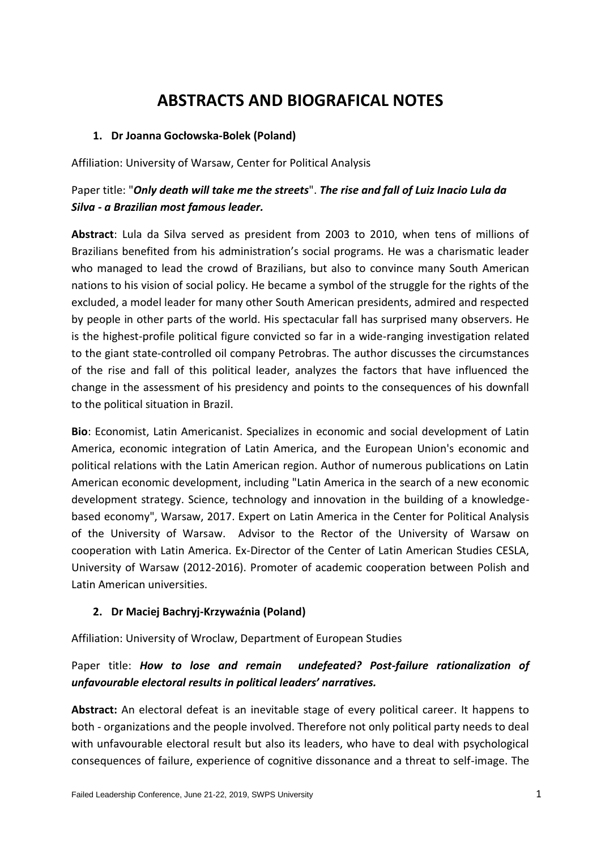# **ABSTRACTS AND BIOGRAFICAL NOTES**

## **1. Dr Joanna Gocłowska-Bolek (Poland)**

Affiliation: University of Warsaw, Center for Political Analysis

# Paper title: "*Only death will take me the streets*". *The rise and fall of Luiz Inacio Lula da Silva - a Brazilian most famous leader.*

**Abstract**: Lula da Silva served as president from 2003 to 2010, when tens of millions of Brazilians benefited from his administration's social programs. He was a charismatic leader who managed to lead the crowd of Brazilians, but also to convince many South American nations to his vision of social policy. He became a symbol of the struggle for the rights of the excluded, a model leader for many other South American presidents, admired and respected by people in other parts of the world. His spectacular fall has surprised many observers. He is the highest-profile political figure convicted so far in a wide-ranging investigation related to the giant state-controlled oil company Petrobras. The author discusses the circumstances of the rise and fall of this political leader, analyzes the factors that have influenced the change in the assessment of his presidency and points to the consequences of his downfall to the political situation in Brazil.

**Bio**: Economist, Latin Americanist. Specializes in economic and social development of Latin America, economic integration of Latin America, and the European Union's economic and political relations with the Latin American region. Author of numerous publications on Latin American economic development, including "Latin America in the search of a new economic development strategy. Science, technology and innovation in the building of a knowledgebased economy", Warsaw, 2017. Expert on Latin America in the Center for Political Analysis of the University of Warsaw. Advisor to the Rector of the University of Warsaw on cooperation with Latin America. Ex-Director of the Center of Latin American Studies CESLA, University of Warsaw (2012-2016). Promoter of academic cooperation between Polish and Latin American universities.

## **2. Dr Maciej Bachryj-Krzywaźnia (Poland)**

Affiliation: University of Wroclaw, Department of European Studies

# Paper title: *How to lose and remain undefeated? Post-failure rationalization of unfavourable electoral results in political leaders' narratives.*

**Abstract:** An electoral defeat is an inevitable stage of every political career. It happens to both - organizations and the people involved. Therefore not only political party needs to deal with unfavourable electoral result but also its leaders, who have to deal with psychological consequences of failure, experience of cognitive dissonance and a threat to self-image. The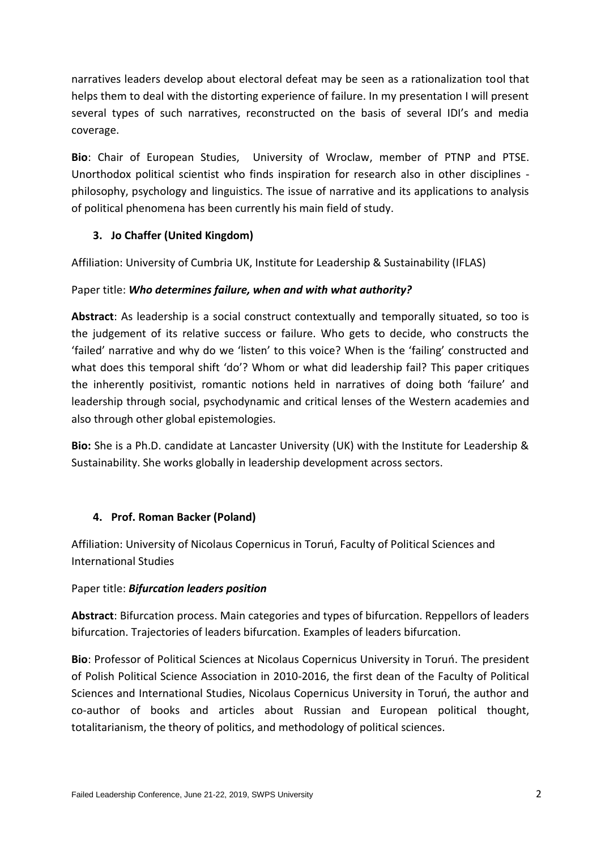narratives leaders develop about electoral defeat may be seen as a rationalization tool that helps them to deal with the distorting experience of failure. In my presentation I will present several types of such narratives, reconstructed on the basis of several IDI's and media coverage.

**Bio**: Chair of European Studies, University of Wroclaw, member of PTNP and PTSE. Unorthodox political scientist who finds inspiration for research also in other disciplines philosophy, psychology and linguistics. The issue of narrative and its applications to analysis of political phenomena has been currently his main field of study.

# **3. Jo Chaffer (United Kingdom)**

Affiliation: University of Cumbria UK, Institute for Leadership & Sustainability (IFLAS)

# Paper title: *Who determines failure, when and with what authority?*

**Abstract**: As leadership is a social construct contextually and temporally situated, so too is the judgement of its relative success or failure. Who gets to decide, who constructs the 'failed' narrative and why do we 'listen' to this voice? When is the 'failing' constructed and what does this temporal shift 'do'? Whom or what did leadership fail? This paper critiques the inherently positivist, romantic notions held in narratives of doing both 'failure' and leadership through social, psychodynamic and critical lenses of the Western academies and also through other global epistemologies.

**Bio:** She is a Ph.D. candidate at Lancaster University (UK) with the Institute for Leadership & Sustainability. She works globally in leadership development across sectors.

# **4. Prof. Roman Backer (Poland)**

Affiliation: University of Nicolaus Copernicus in Toruń, Faculty of Political Sciences and International Studies

# Paper title: *Bifurcation leaders position*

**Abstract**: Bifurcation process. Main categories and types of bifurcation. Reppellors of leaders bifurcation. Trajectories of leaders bifurcation. Examples of leaders bifurcation.

**Bio**: Professor of Political Sciences at Nicolaus Copernicus University in Toruń. The president of Polish Political Science Association in 2010-2016, the first dean of the Faculty of Political Sciences and International Studies, Nicolaus Copernicus University in Toruń, the author and co-author of books and articles about Russian and European political thought, totalitarianism, the theory of politics, and methodology of political sciences.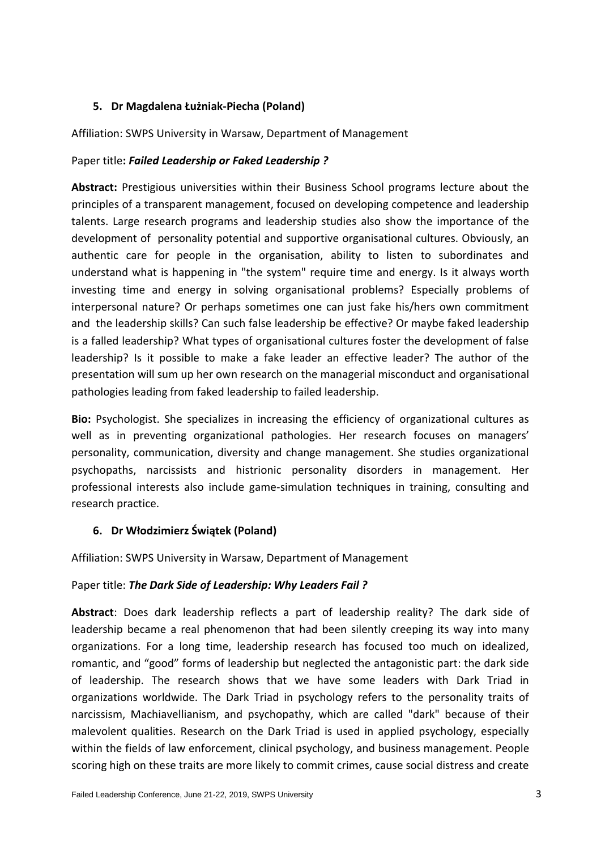# **5. Dr Magdalena Łużniak-Piecha (Poland)**

Affiliation: SWPS University in Warsaw, Department of Management

## Paper title**:** *Failed Leadership or Faked Leadership ?*

**Abstract:** Prestigious universities within their Business School programs lecture about the principles of a transparent management, focused on developing competence and leadership talents. Large research programs and leadership studies also show the importance of the development of personality potential and supportive organisational cultures. Obviously, an authentic care for people in the organisation, ability to listen to subordinates and understand what is happening in "the system" require time and energy. Is it always worth investing time and energy in solving organisational problems? Especially problems of interpersonal nature? Or perhaps sometimes one can just fake his/hers own commitment and the leadership skills? Can such false leadership be effective? Or maybe faked leadership is a falled leadership? What types of organisational cultures foster the development of false leadership? Is it possible to make a fake leader an effective leader? The author of the presentation will sum up her own research on the managerial misconduct and organisational pathologies leading from faked leadership to failed leadership.

**Bio:** Psychologist. She specializes in increasing the efficiency of organizational cultures as well as in preventing organizational pathologies. Her research focuses on managers' personality, communication, diversity and change management. She studies organizational psychopaths, narcissists and histrionic personality disorders in management. Her professional interests also include game-simulation techniques in training, consulting and research practice.

## **6. Dr Włodzimierz Świątek (Poland)**

Affiliation: SWPS University in Warsaw, Department of Management

#### Paper title: *The Dark Side of Leadership: Why Leaders Fail ?*

**Abstract**: Does dark leadership reflects a part of leadership reality? The dark side of leadership became a real phenomenon that had been silently creeping its way into many organizations. For a long time, leadership research has focused too much on idealized, romantic, and "good" forms of leadership but neglected the antagonistic part: the dark side of leadership. The research shows that we have some leaders with Dark Triad in organizations worldwide. The Dark Triad in psychology refers to the personality traits of narcissism, Machiavellianism, and psychopathy, which are called "dark" because of their malevolent qualities. Research on the Dark Triad is used in applied psychology, especially within the fields of law enforcement, clinical psychology, and business management. People scoring high on these traits are more likely to commit crimes, cause social distress and create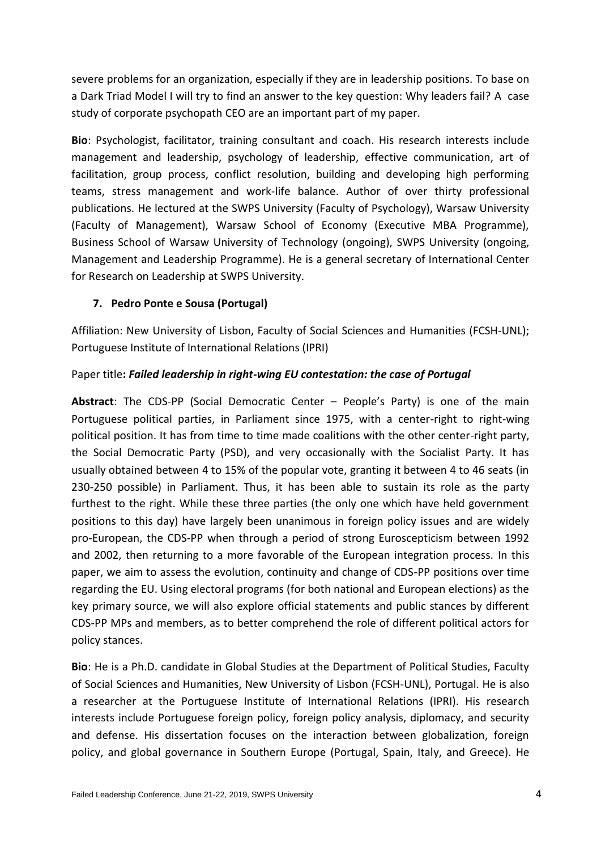severe problems for an organization, especially if they are in leadership positions. To base on a Dark Triad Model I will try to find an answer to the key question: Why leaders fail? A case study of corporate psychopath CEO are an important part of my paper.

**Bio**: Psychologist, facilitator, training consultant and coach. His research interests include management and leadership, psychology of leadership, effective communication, art of facilitation, group process, conflict resolution, building and developing high performing teams, stress management and work-life balance. Author of over thirty professional publications. He lectured at the SWPS University (Faculty of Psychology), Warsaw University (Faculty of Management), Warsaw School of Economy (Executive MBA Programme), Business School of Warsaw University of Technology (ongoing), SWPS University (ongoing, Management and Leadership Programme). He is a general secretary of International Center for Research on Leadership at SWPS University.

# **7. Pedro Ponte e Sousa (Portugal)**

Affiliation: New University of Lisbon, Faculty of Social Sciences and Humanities (FCSH-UNL); Portuguese Institute of International Relations (IPRI)

# Paper title**:** *Failed leadership in right-wing EU contestation: the case of Portugal*

**Abstract**: The CDS-PP (Social Democratic Center – People's Party) is one of the main Portuguese political parties, in Parliament since 1975, with a center-right to right-wing political position. It has from time to time made coalitions with the other center-right party, the Social Democratic Party (PSD), and very occasionally with the Socialist Party. It has usually obtained between 4 to 15% of the popular vote, granting it between 4 to 46 seats (in 230-250 possible) in Parliament. Thus, it has been able to sustain its role as the party furthest to the right. While these three parties (the only one which have held government positions to this day) have largely been unanimous in foreign policy issues and are widely pro-European, the CDS-PP when through a period of strong Euroscepticism between 1992 and 2002, then returning to a more favorable of the European integration process. In this paper, we aim to assess the evolution, continuity and change of CDS-PP positions over time regarding the EU. Using electoral programs (for both national and European elections) as the key primary source, we will also explore official statements and public stances by different CDS-PP MPs and members, as to better comprehend the role of different political actors for policy stances.

**Bio**: He is a Ph.D. candidate in Global Studies at the Department of Political Studies, Faculty of Social Sciences and Humanities, New University of Lisbon (FCSH-UNL), Portugal. He is also a researcher at the Portuguese Institute of International Relations (IPRI). His research interests include Portuguese foreign policy, foreign policy analysis, diplomacy, and security and defense. His dissertation focuses on the interaction between globalization, foreign policy, and global governance in Southern Europe (Portugal, Spain, Italy, and Greece). He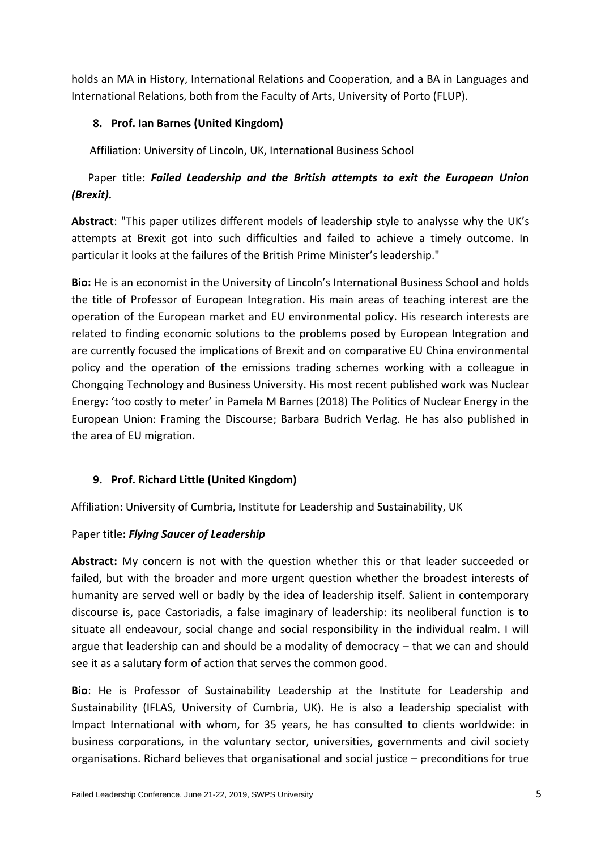holds an MA in History, International Relations and Cooperation, and a BA in Languages and International Relations, both from the Faculty of Arts, University of Porto (FLUP).

# **8. Prof. Ian Barnes (United Kingdom)**

Affiliation: University of Lincoln, UK, International Business School

# Paper title**:** *Failed Leadership and the British attempts to exit the European Union (Brexit).*

**Abstract**: "This paper utilizes different models of leadership style to analysse why the UK's attempts at Brexit got into such difficulties and failed to achieve a timely outcome. In particular it looks at the failures of the British Prime Minister's leadership."

**Bio:** He is an economist in the University of Lincoln's International Business School and holds the title of Professor of European Integration. His main areas of teaching interest are the operation of the European market and EU environmental policy. His research interests are related to finding economic solutions to the problems posed by European Integration and are currently focused the implications of Brexit and on comparative EU China environmental policy and the operation of the emissions trading schemes working with a colleague in Chongqing Technology and Business University. His most recent published work was Nuclear Energy: 'too costly to meter' in Pamela M Barnes (2018) The Politics of Nuclear Energy in the European Union: Framing the Discourse; Barbara Budrich Verlag. He has also published in the area of EU migration.

## **9. Prof. Richard Little (United Kingdom)**

Affiliation: University of Cumbria, Institute for Leadership and Sustainability, UK

## Paper title**:** *Flying Saucer of Leadership*

**Abstract:** My concern is not with the question whether this or that leader succeeded or failed, but with the broader and more urgent question whether the broadest interests of humanity are served well or badly by the idea of leadership itself. Salient in contemporary discourse is, pace Castoriadis, a false imaginary of leadership: its neoliberal function is to situate all endeavour, social change and social responsibility in the individual realm. I will argue that leadership can and should be a modality of democracy – that we can and should see it as a salutary form of action that serves the common good.

**Bio**: He is Professor of Sustainability Leadership at the Institute for Leadership and Sustainability (IFLAS, University of Cumbria, UK). He is also a leadership specialist with Impact International with whom, for 35 years, he has consulted to clients worldwide: in business corporations, in the voluntary sector, universities, governments and civil society organisations. Richard believes that organisational and social justice – preconditions for true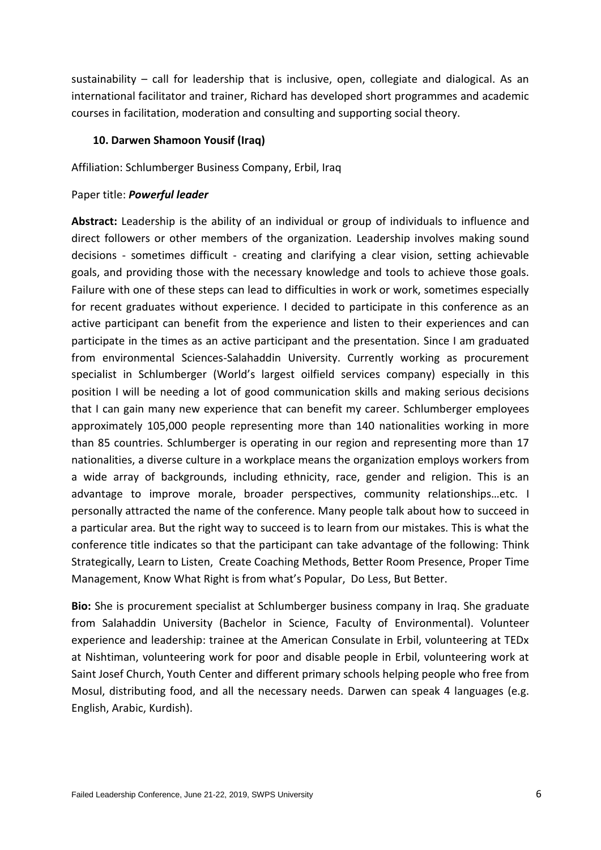sustainability – call for leadership that is inclusive, open, collegiate and dialogical. As an international facilitator and trainer, Richard has developed short programmes and academic courses in facilitation, moderation and consulting and supporting social theory.

#### **10. Darwen Shamoon Yousif (Iraq)**

Affiliation: Schlumberger Business Company, Erbil, Iraq

#### Paper title: *Powerful leader*

**Abstract:** Leadership is the ability of an individual or group of individuals to influence and direct followers or other members of the organization. Leadership involves making sound decisions - sometimes difficult - creating and clarifying a clear vision, setting achievable goals, and providing those with the necessary knowledge and tools to achieve those goals. Failure with one of these steps can lead to difficulties in work or work, sometimes especially for recent graduates without experience. I decided to participate in this conference as an active participant can benefit from the experience and listen to their experiences and can participate in the times as an active participant and the presentation. Since I am graduated from environmental Sciences-Salahaddin University. Currently working as procurement specialist in Schlumberger (World's largest oilfield services company) especially in this position I will be needing a lot of good communication skills and making serious decisions that I can gain many new experience that can benefit my career. Schlumberger employees approximately 105,000 people representing more than 140 nationalities working in more than 85 countries. Schlumberger is operating in our region and representing more than 17 nationalities, a diverse culture in a workplace means the organization employs workers from a wide array of backgrounds, including ethnicity, race, gender and religion. This is an advantage to improve morale, broader perspectives, community relationships…etc. I personally attracted the name of the conference. Many people talk about how to succeed in a particular area. But the right way to succeed is to learn from our mistakes. This is what the conference title indicates so that the participant can take advantage of the following: Think Strategically, Learn to Listen, Create Coaching Methods, Better Room Presence, Proper Time Management, Know What Right is from what's Popular, Do Less, But Better.

**Bio:** She is procurement specialist at Schlumberger business company in Iraq. She graduate from Salahaddin University (Bachelor in Science, Faculty of Environmental). Volunteer experience and leadership: trainee at the American Consulate in Erbil, volunteering at TEDx at Nishtiman, volunteering work for poor and disable people in Erbil, volunteering work at Saint Josef Church, Youth Center and different primary schools helping people who free from Mosul, distributing food, and all the necessary needs. Darwen can speak 4 languages (e.g. English, Arabic, Kurdish).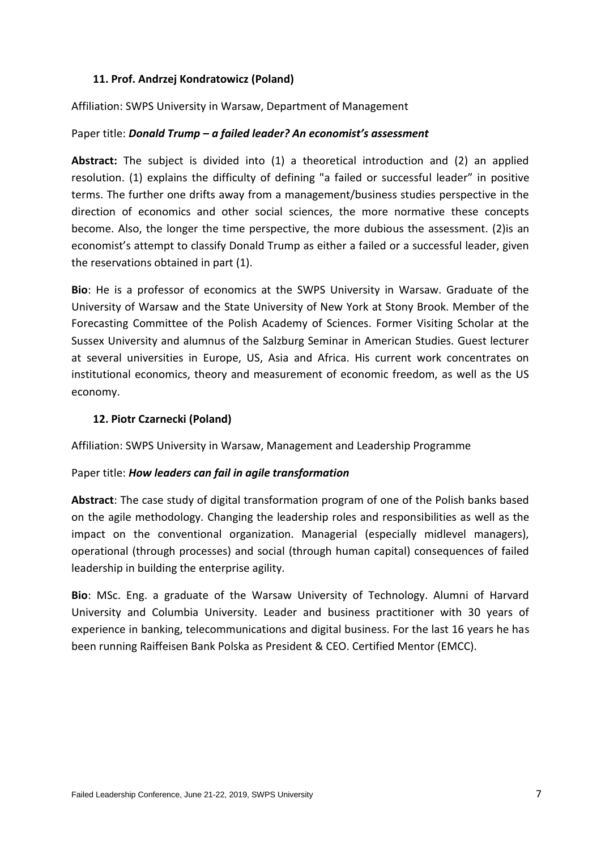#### **11. Prof. Andrzej Kondratowicz (Poland)**

Affiliation: SWPS University in Warsaw, Department of Management

#### Paper title: *Donald Trump – a failed leader? An economist's assessment*

**Abstract:** The subject is divided into (1) a theoretical introduction and (2) an applied resolution. (1) explains the difficulty of defining "a failed or successful leader" in positive terms. The further one drifts away from a management/business studies perspective in the direction of economics and other social sciences, the more normative these concepts become. Also, the longer the time perspective, the more dubious the assessment. (2)is an economist's attempt to classify Donald Trump as either a failed or a successful leader, given the reservations obtained in part (1).

**Bio**: He is a professor of economics at the SWPS University in Warsaw. Graduate of the University of Warsaw and the State University of New York at Stony Brook. Member of the Forecasting Committee of the Polish Academy of Sciences. Former Visiting Scholar at the Sussex University and alumnus of the Salzburg Seminar in American Studies. Guest lecturer at several universities in Europe, US, Asia and Africa. His current work concentrates on institutional economics, theory and measurement of economic freedom, as well as the US economy.

#### **12. Piotr Czarnecki (Poland)**

Affiliation: SWPS University in Warsaw, Management and Leadership Programme

#### Paper title: *How leaders can fail in agile transformation*

**Abstract**: The case study of digital transformation program of one of the Polish banks based on the agile methodology. Changing the leadership roles and responsibilities as well as the impact on the conventional organization. Managerial (especially midlevel managers), operational (through processes) and social (through human capital) consequences of failed leadership in building the enterprise agility.

**Bio**: MSc. Eng. a graduate of the Warsaw University of Technology. Alumni of Harvard University and Columbia University. Leader and business practitioner with 30 years of experience in banking, telecommunications and digital business. For the last 16 years he has been running Raiffeisen Bank Polska as President & CEO. Certified Mentor (EMCC).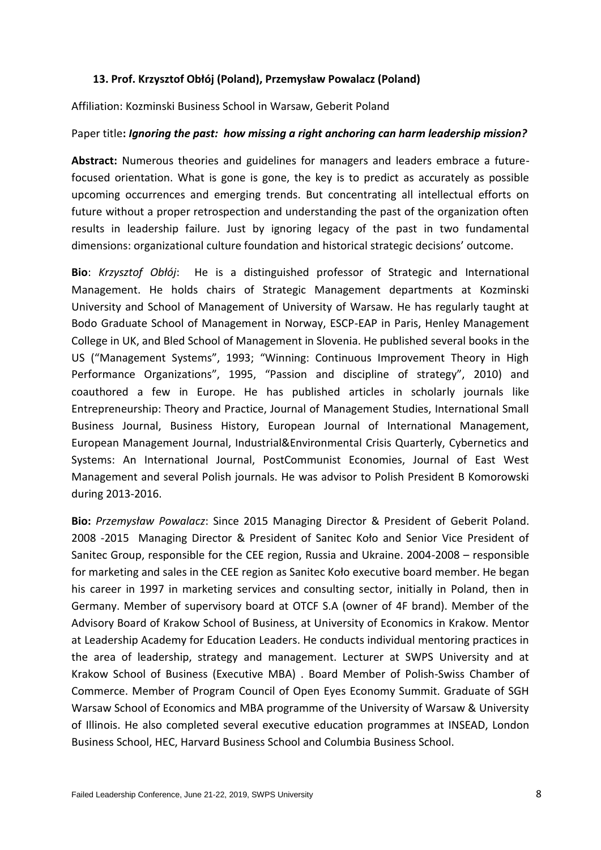#### **13. Prof. Krzysztof Obłój (Poland), Przemysław Powalacz (Poland)**

Affiliation: Kozminski Business School in Warsaw, Geberit Poland

#### Paper title**:** *Ignoring the past: how missing a right anchoring can harm leadership mission?*

**Abstract:** Numerous theories and guidelines for managers and leaders embrace a futurefocused orientation. What is gone is gone, the key is to predict as accurately as possible upcoming occurrences and emerging trends. But concentrating all intellectual efforts on future without a proper retrospection and understanding the past of the organization often results in leadership failure. Just by ignoring legacy of the past in two fundamental dimensions: organizational culture foundation and historical strategic decisions' outcome.

**Bio**: *Krzysztof Obłój*: He is a distinguished professor of Strategic and International Management. He holds chairs of Strategic Management departments at Kozminski University and School of Management of University of Warsaw. He has regularly taught at Bodo Graduate School of Management in Norway, ESCP-EAP in Paris, Henley Management College in UK, and Bled School of Management in Slovenia. He published several books in the US ("Management Systems", 1993; "Winning: Continuous Improvement Theory in High Performance Organizations", 1995, "Passion and discipline of strategy", 2010) and coauthored a few in Europe. He has published articles in scholarly journals like Entrepreneurship: Theory and Practice, Journal of Management Studies, International Small Business Journal, Business History, European Journal of International Management, European Management Journal, Industrial&Environmental Crisis Quarterly, Cybernetics and Systems: An International Journal, PostCommunist Economies, Journal of East West Management and several Polish journals. He was advisor to Polish President B Komorowski during 2013-2016.

**Bio:** *Przemysław Powalacz*: Since 2015 Managing Director & President of Geberit Poland. 2008 -2015 Managing Director & President of Sanitec Koło and Senior Vice President of Sanitec Group, responsible for the CEE region, Russia and Ukraine. 2004-2008 – responsible for marketing and sales in the CEE region as Sanitec Koło executive board member. He began his career in 1997 in marketing services and consulting sector, initially in Poland, then in Germany. Member of supervisory board at OTCF S.A (owner of 4F brand). Member of the Advisory Board of Krakow School of Business, at University of Economics in Krakow. Mentor at Leadership Academy for Education Leaders. He conducts individual mentoring practices in the area of leadership, strategy and management. Lecturer at SWPS University and at Krakow School of Business (Executive MBA) . Board Member of Polish-Swiss Chamber of Commerce. Member of Program Council of Open Eyes Economy Summit. Graduate of SGH Warsaw School of Economics and MBA programme of the University of Warsaw & University of Illinois. He also completed several executive education programmes at INSEAD, London Business School, HEC, Harvard Business School and Columbia Business School.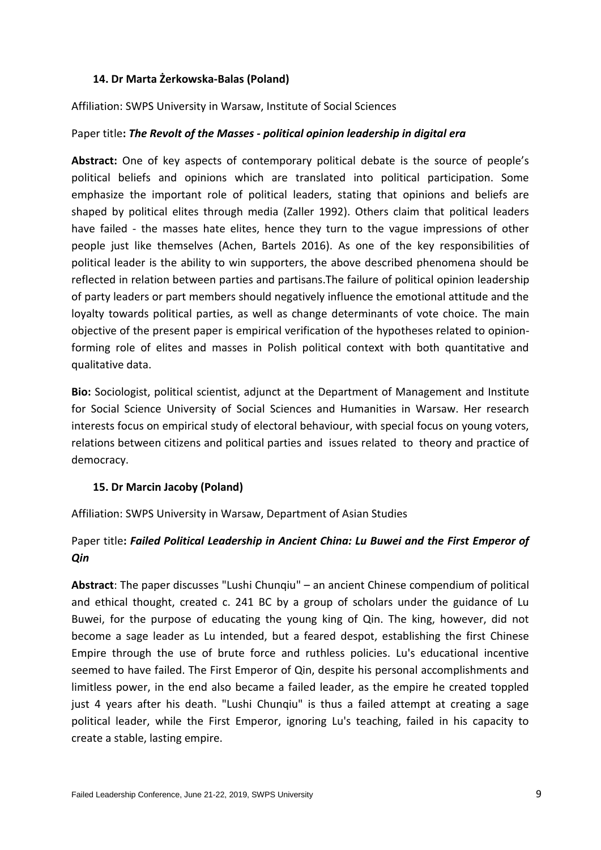#### **14. Dr Marta Żerkowska-Balas (Poland)**

Affiliation: SWPS University in Warsaw, Institute of Social Sciences

#### Paper title**:** *The Revolt of the Masses - political opinion leadership in digital era*

**Abstract:** One of key aspects of contemporary political debate is the source of people's political beliefs and opinions which are translated into political participation. Some emphasize the important role of political leaders, stating that opinions and beliefs are shaped by political elites through media (Zaller 1992). Others claim that political leaders have failed - the masses hate elites, hence they turn to the vague impressions of other people just like themselves (Achen, Bartels 2016). As one of the key responsibilities of political leader is the ability to win supporters, the above described phenomena should be reflected in relation between parties and partisans.The failure of political opinion leadership of party leaders or part members should negatively influence the emotional attitude and the loyalty towards political parties, as well as change determinants of vote choice. The main objective of the present paper is empirical verification of the hypotheses related to opinionforming role of elites and masses in Polish political context with both quantitative and qualitative data.

**Bio:** Sociologist, political scientist, adjunct at the Department of Management and Institute for Social Science University of Social Sciences and Humanities in Warsaw. Her research interests focus on empirical study of electoral behaviour, with special focus on young voters, relations between citizens and political parties and issues related to theory and practice of democracy.

#### **15. Dr Marcin Jacoby (Poland)**

Affiliation: SWPS University in Warsaw, Department of Asian Studies

# Paper title**:** *Failed Political Leadership in Ancient China: Lu Buwei and the First Emperor of Qin*

**Abstract**: The paper discusses "Lushi Chunqiu" – an ancient Chinese compendium of political and ethical thought, created c. 241 BC by a group of scholars under the guidance of Lu Buwei, for the purpose of educating the young king of Qin. The king, however, did not become a sage leader as Lu intended, but a feared despot, establishing the first Chinese Empire through the use of brute force and ruthless policies. Lu's educational incentive seemed to have failed. The First Emperor of Qin, despite his personal accomplishments and limitless power, in the end also became a failed leader, as the empire he created toppled just 4 years after his death. "Lushi Chunqiu" is thus a failed attempt at creating a sage political leader, while the First Emperor, ignoring Lu's teaching, failed in his capacity to create a stable, lasting empire.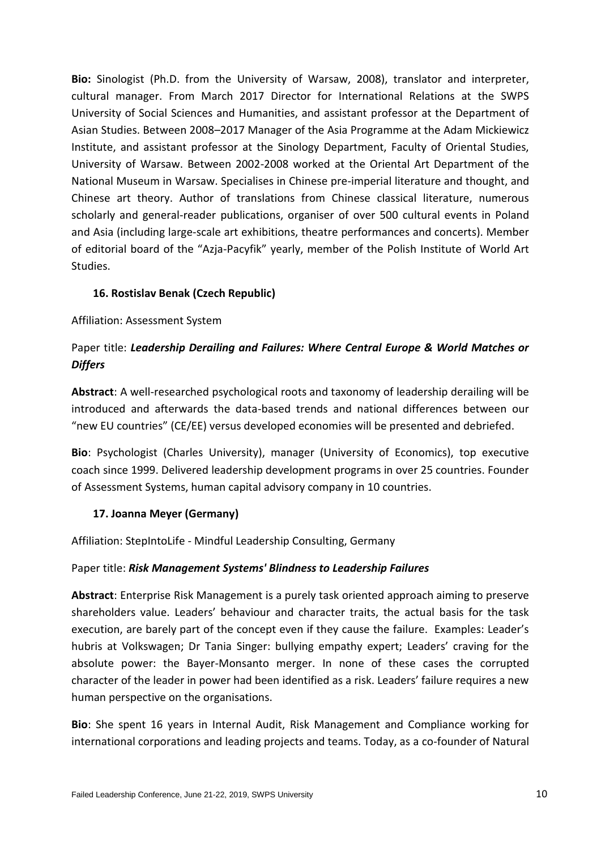**Bio:** Sinologist (Ph.D. from the University of Warsaw, 2008), translator and interpreter, cultural manager. From March 2017 Director for International Relations at the SWPS University of Social Sciences and Humanities, and assistant professor at the Department of Asian Studies. Between 2008–2017 Manager of the Asia Programme at the Adam Mickiewicz Institute, and assistant professor at the Sinology Department, Faculty of Oriental Studies, University of Warsaw. Between 2002-2008 worked at the Oriental Art Department of the National Museum in Warsaw. Specialises in Chinese pre-imperial literature and thought, and Chinese art theory. Author of translations from Chinese classical literature, numerous scholarly and general-reader publications, organiser of over 500 cultural events in Poland and Asia (including large-scale art exhibitions, theatre performances and concerts). Member of editorial board of the "Azja-Pacyfik" yearly, member of the Polish Institute of World Art Studies.

## **16. Rostislav Benak (Czech Republic)**

#### Affiliation: Assessment System

# Paper title: *Leadership Derailing and Failures: Where Central Europe & World Matches or Differs*

**Abstract**: A well-researched psychological roots and taxonomy of leadership derailing will be introduced and afterwards the data-based trends and national differences between our "new EU countries" (CE/EE) versus developed economies will be presented and debriefed.

**Bio**: Psychologist (Charles University), manager (University of Economics), top executive coach since 1999. Delivered leadership development programs in over 25 countries. Founder of Assessment Systems, human capital advisory company in 10 countries.

## **17. Joanna Meyer (Germany)**

Affiliation: StepIntoLife - Mindful Leadership Consulting, Germany

#### Paper title: *Risk Management Systems' Blindness to Leadership Failures*

**Abstract**: Enterprise Risk Management is a purely task oriented approach aiming to preserve shareholders value. Leaders' behaviour and character traits, the actual basis for the task execution, are barely part of the concept even if they cause the failure. Examples: Leader's hubris at Volkswagen; Dr Tania Singer: bullying empathy expert; Leaders' craving for the absolute power: the Bayer-Monsanto merger. In none of these cases the corrupted character of the leader in power had been identified as a risk. Leaders' failure requires a new human perspective on the organisations.

**Bio**: She spent 16 years in Internal Audit, Risk Management and Compliance working for international corporations and leading projects and teams. Today, as a co-founder of Natural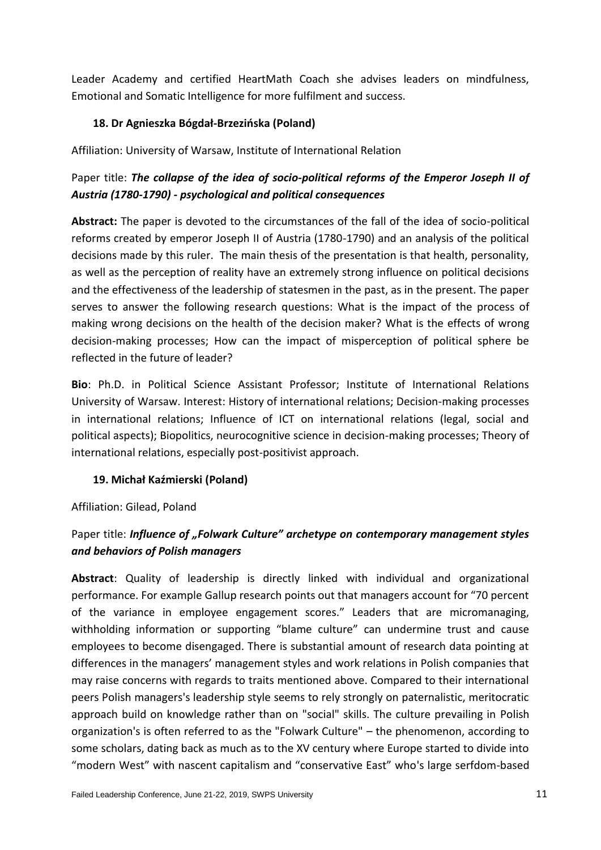Leader Academy and certified HeartMath Coach she advises leaders on mindfulness, Emotional and Somatic Intelligence for more fulfilment and success.

# **18. Dr Agnieszka Bógdał-Brzezińska (Poland)**

Affiliation: University of Warsaw, Institute of International Relation

# Paper title: *The collapse of the idea of socio-political reforms of the Emperor Joseph II of Austria (1780-1790) - psychological and political consequences*

**Abstract:** The paper is devoted to the circumstances of the fall of the idea of socio-political reforms created by emperor Joseph II of Austria (1780-1790) and an analysis of the political decisions made by this ruler. The main thesis of the presentation is that health, personality, as well as the perception of reality have an extremely strong influence on political decisions and the effectiveness of the leadership of statesmen in the past, as in the present. The paper serves to answer the following research questions: What is the impact of the process of making wrong decisions on the health of the decision maker? What is the effects of wrong decision-making processes; How can the impact of misperception of political sphere be reflected in the future of leader?

**Bio**: Ph.D. in Political Science Assistant Professor; Institute of International Relations University of Warsaw. Interest: History of international relations; Decision-making processes in international relations; Influence of ICT on international relations (legal, social and political aspects); Biopolitics, neurocognitive science in decision-making processes; Theory of international relations, especially post-positivist approach.

## **19. Michał Kaźmierski (Poland)**

## Affiliation: Gilead, Poland

# Paper title: *Influence of "Folwark Culture" archetype on contemporary management styles and behaviors of Polish managers*

**Abstract**: Quality of leadership is directly linked with individual and organizational performance. For example Gallup research points out that managers account for "70 percent of the variance in employee engagement scores." Leaders that are micromanaging, withholding information or supporting "blame culture" can undermine trust and cause employees to become disengaged. There is substantial amount of research data pointing at differences in the managers' management styles and work relations in Polish companies that may raise concerns with regards to traits mentioned above. Compared to their international peers Polish managers's leadership style seems to rely strongly on paternalistic, meritocratic approach build on knowledge rather than on "social" skills. The culture prevailing in Polish organization's is often referred to as the "Folwark Culture" – the phenomenon, according to some scholars, dating back as much as to the XV century where Europe started to divide into "modern West" with nascent capitalism and "conservative East" who's large serfdom-based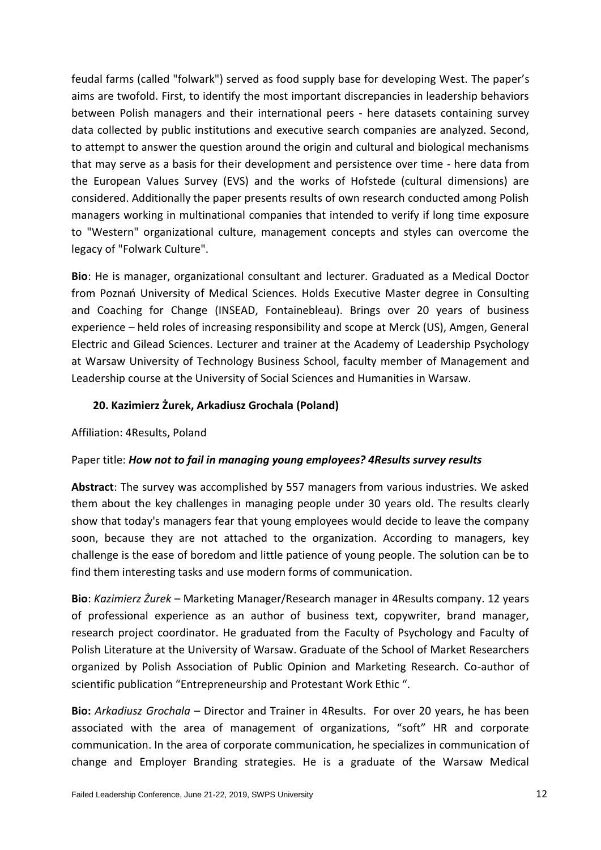feudal farms (called "folwark") served as food supply base for developing West. The paper's aims are twofold. First, to identify the most important discrepancies in leadership behaviors between Polish managers and their international peers - here datasets containing survey data collected by public institutions and executive search companies are analyzed. Second, to attempt to answer the question around the origin and cultural and biological mechanisms that may serve as a basis for their development and persistence over time - here data from the European Values Survey (EVS) and the works of Hofstede (cultural dimensions) are considered. Additionally the paper presents results of own research conducted among Polish managers working in multinational companies that intended to verify if long time exposure to "Western" organizational culture, management concepts and styles can overcome the legacy of "Folwark Culture".

**Bio**: He is manager, organizational consultant and lecturer. Graduated as a Medical Doctor from Poznań University of Medical Sciences. Holds Executive Master degree in Consulting and Coaching for Change (INSEAD, Fontainebleau). Brings over 20 years of business experience – held roles of increasing responsibility and scope at Merck (US), Amgen, General Electric and Gilead Sciences. Lecturer and trainer at the Academy of Leadership Psychology at Warsaw University of Technology Business School, faculty member of Management and Leadership course at the University of Social Sciences and Humanities in Warsaw.

## **20. Kazimierz Żurek, Arkadiusz Grochala (Poland)**

## Affiliation: 4Results, Poland

## Paper title: *How not to fail in managing young employees? 4Results survey results*

**Abstract**: The survey was accomplished by 557 managers from various industries. We asked them about the key challenges in managing people under 30 years old. The results clearly show that today's managers fear that young employees would decide to leave the company soon, because they are not attached to the organization. According to managers, key challenge is the ease of boredom and little patience of young people. The solution can be to find them interesting tasks and use modern forms of communication.

**Bio**: *Kazimierz Żurek* – Marketing Manager/Research manager in 4Results company. 12 years of professional experience as an author of business text, copywriter, brand manager, research project coordinator. He graduated from the Faculty of Psychology and Faculty of Polish Literature at the University of Warsaw. Graduate of the School of Market Researchers organized by Polish Association of Public Opinion and Marketing Research. Co-author of scientific publication "Entrepreneurship and Protestant Work Ethic ".

**Bio:** *Arkadiusz Grochala* – Director and Trainer in 4Results. For over 20 years, he has been associated with the area of management of organizations, "soft" HR and corporate communication. In the area of corporate communication, he specializes in communication of change and Employer Branding strategies. He is a graduate of the Warsaw Medical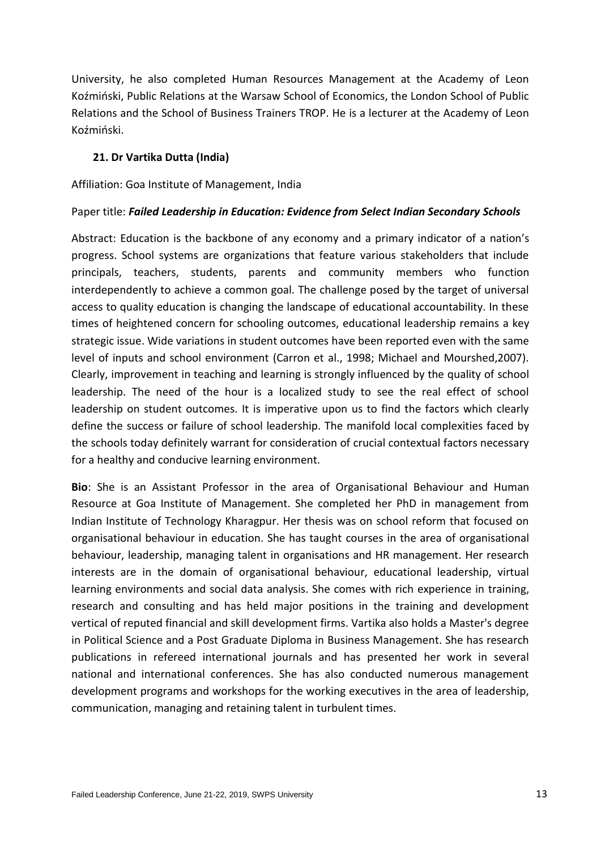University, he also completed Human Resources Management at the Academy of Leon Koźmiński, Public Relations at the Warsaw School of Economics, the London School of Public Relations and the School of Business Trainers TROP. He is a lecturer at the Academy of Leon Koźmiński.

#### **21. Dr Vartika Dutta (India)**

#### Affiliation: Goa Institute of Management, India

#### Paper title: *Failed Leadership in Education: Evidence from Select Indian Secondary Schools*

Abstract: Education is the backbone of any economy and a primary indicator of a nation's progress. School systems are organizations that feature various stakeholders that include principals, teachers, students, parents and community members who function interdependently to achieve a common goal. The challenge posed by the target of universal access to quality education is changing the landscape of educational accountability. In these times of heightened concern for schooling outcomes, educational leadership remains a key strategic issue. Wide variations in student outcomes have been reported even with the same level of inputs and school environment (Carron et al., 1998; Michael and Mourshed,2007). Clearly, improvement in teaching and learning is strongly influenced by the quality of school leadership. The need of the hour is a localized study to see the real effect of school leadership on student outcomes. It is imperative upon us to find the factors which clearly define the success or failure of school leadership. The manifold local complexities faced by the schools today definitely warrant for consideration of crucial contextual factors necessary for a healthy and conducive learning environment.

**Bio**: She is an Assistant Professor in the area of Organisational Behaviour and Human Resource at Goa Institute of Management. She completed her PhD in management from Indian Institute of Technology Kharagpur. Her thesis was on school reform that focused on organisational behaviour in education. She has taught courses in the area of organisational behaviour, leadership, managing talent in organisations and HR management. Her research interests are in the domain of organisational behaviour, educational leadership, virtual learning environments and social data analysis. She comes with rich experience in training, research and consulting and has held major positions in the training and development vertical of reputed financial and skill development firms. Vartika also holds a Master's degree in Political Science and a Post Graduate Diploma in Business Management. She has research publications in refereed international journals and has presented her work in several national and international conferences. She has also conducted numerous management development programs and workshops for the working executives in the area of leadership, communication, managing and retaining talent in turbulent times.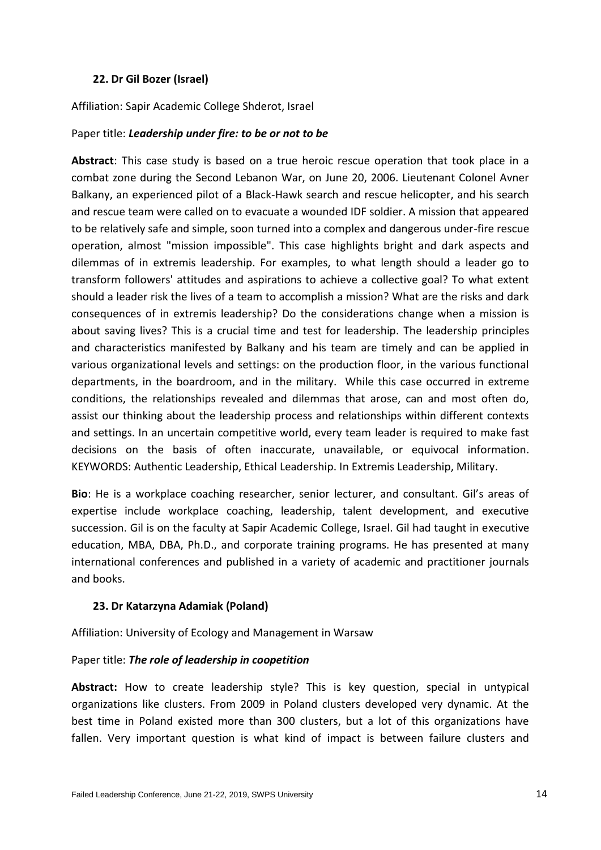#### **22. Dr Gil Bozer (Israel)**

Affiliation: Sapir Academic College Shderot, Israel

#### Paper title: *Leadership under fire: to be or not to be*

**Abstract**: This case study is based on a true heroic rescue operation that took place in a combat zone during the Second Lebanon War, on June 20, 2006. Lieutenant Colonel Avner Balkany, an experienced pilot of a Black-Hawk search and rescue helicopter, and his search and rescue team were called on to evacuate a wounded IDF soldier. A mission that appeared to be relatively safe and simple, soon turned into a complex and dangerous under-fire rescue operation, almost "mission impossible". This case highlights bright and dark aspects and dilemmas of in extremis leadership. For examples, to what length should a leader go to transform followers' attitudes and aspirations to achieve a collective goal? To what extent should a leader risk the lives of a team to accomplish a mission? What are the risks and dark consequences of in extremis leadership? Do the considerations change when a mission is about saving lives? This is a crucial time and test for leadership. The leadership principles and characteristics manifested by Balkany and his team are timely and can be applied in various organizational levels and settings: on the production floor, in the various functional departments, in the boardroom, and in the military. While this case occurred in extreme conditions, the relationships revealed and dilemmas that arose, can and most often do, assist our thinking about the leadership process and relationships within different contexts and settings. In an uncertain competitive world, every team leader is required to make fast decisions on the basis of often inaccurate, unavailable, or equivocal information. KEYWORDS: Authentic Leadership, Ethical Leadership. In Extremis Leadership, Military.

**Bio**: He is a workplace coaching researcher, senior lecturer, and consultant. Gil's areas of expertise include workplace coaching, leadership, talent development, and executive succession. Gil is on the faculty at Sapir Academic College, Israel. Gil had taught in executive education, MBA, DBA, Ph.D., and corporate training programs. He has presented at many international conferences and published in a variety of academic and practitioner journals and books.

## **23. Dr Katarzyna Adamiak (Poland)**

Affiliation: University of Ecology and Management in Warsaw

## Paper title: *The role of leadership in coopetition*

**Abstract:** How to create leadership style? This is key question, special in untypical organizations like clusters. From 2009 in Poland clusters developed very dynamic. At the best time in Poland existed more than 300 clusters, but a lot of this organizations have fallen. Very important question is what kind of impact is between failure clusters and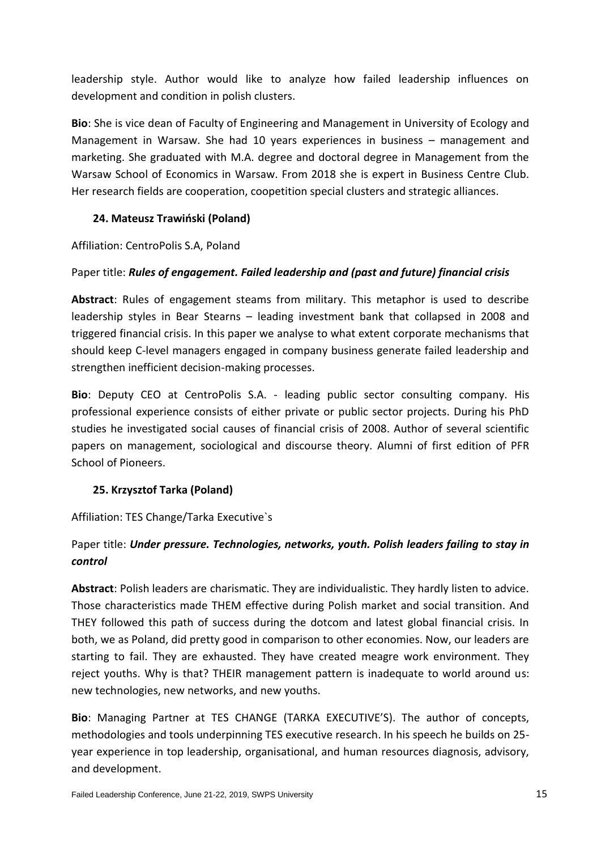leadership style. Author would like to analyze how failed leadership influences on development and condition in polish clusters.

**Bio**: She is vice dean of Faculty of Engineering and Management in University of Ecology and Management in Warsaw. She had 10 years experiences in business – management and marketing. She graduated with M.A. degree and doctoral degree in Management from the Warsaw School of Economics in Warsaw. From 2018 she is expert in Business Centre Club. Her research fields are cooperation, coopetition special clusters and strategic alliances.

# **24. Mateusz Trawiński (Poland)**

Affiliation: CentroPolis S.A, Poland

# Paper title: *Rules of engagement. Failed leadership and (past and future) financial crisis*

**Abstract**: Rules of engagement steams from military. This metaphor is used to describe leadership styles in Bear Stearns – leading investment bank that collapsed in 2008 and triggered financial crisis. In this paper we analyse to what extent corporate mechanisms that should keep C-level managers engaged in company business generate failed leadership and strengthen inefficient decision-making processes.

**Bio**: Deputy CEO at CentroPolis S.A. - leading public sector consulting company. His professional experience consists of either private or public sector projects. During his PhD studies he investigated social causes of financial crisis of 2008. Author of several scientific papers on management, sociological and discourse theory. Alumni of first edition of PFR School of Pioneers.

# **25. Krzysztof Tarka (Poland)**

Affiliation: TES Change/Tarka Executive`s

# Paper title: *Under pressure. Technologies, networks, youth. Polish leaders failing to stay in control*

**Abstract**: Polish leaders are charismatic. They are individualistic. They hardly listen to advice. Those characteristics made THEM effective during Polish market and social transition. And THEY followed this path of success during the dotcom and latest global financial crisis. In both, we as Poland, did pretty good in comparison to other economies. Now, our leaders are starting to fail. They are exhausted. They have created meagre work environment. They reject youths. Why is that? THEIR management pattern is inadequate to world around us: new technologies, new networks, and new youths.

**Bio**: Managing Partner at TES CHANGE (TARKA EXECUTIVE'S). The author of concepts, methodologies and tools underpinning TES executive research. In his speech he builds on 25 year experience in top leadership, organisational, and human resources diagnosis, advisory, and development.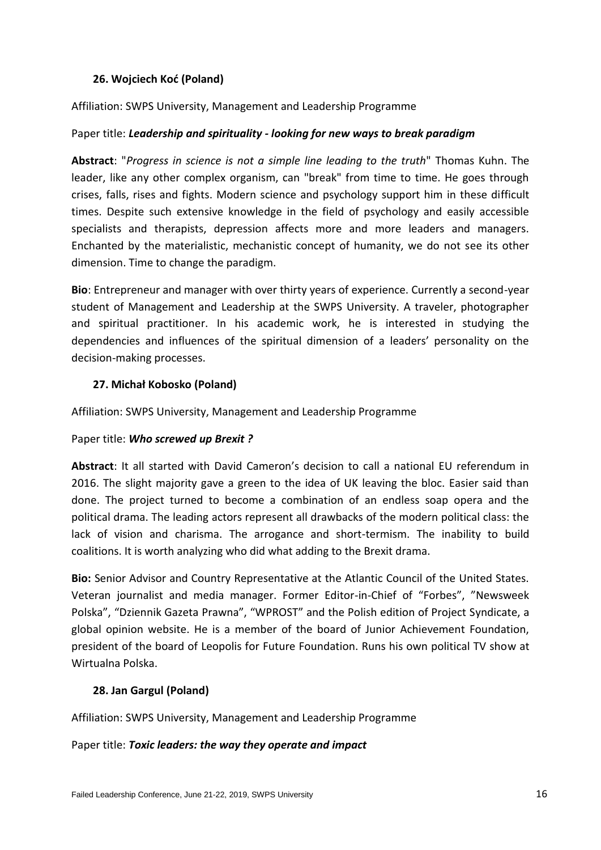## **26. Wojciech Koć (Poland)**

Affiliation: SWPS University, Management and Leadership Programme

#### Paper title: *Leadership and spirituality - looking for new ways to break paradigm*

**Abstract**: "*Progress in science is not a simple line leading to the truth*" Thomas Kuhn. The leader, like any other complex organism, can "break" from time to time. He goes through crises, falls, rises and fights. Modern science and psychology support him in these difficult times. Despite such extensive knowledge in the field of psychology and easily accessible specialists and therapists, depression affects more and more leaders and managers. Enchanted by the materialistic, mechanistic concept of humanity, we do not see its other dimension. Time to change the paradigm.

**Bio**: Entrepreneur and manager with over thirty years of experience. Currently a second-year student of Management and Leadership at the SWPS University. A traveler, photographer and spiritual practitioner. In his academic work, he is interested in studying the dependencies and influences of the spiritual dimension of a leaders' personality on the decision-making processes.

#### **27. Michał Kobosko (Poland)**

Affiliation: SWPS University, Management and Leadership Programme

#### Paper title: *Who screwed up Brexit ?*

**Abstract**: It all started with David Cameron's decision to call a national EU referendum in 2016. The slight majority gave a green to the idea of UK leaving the bloc. Easier said than done. The project turned to become a combination of an endless soap opera and the political drama. The leading actors represent all drawbacks of the modern political class: the lack of vision and charisma. The arrogance and short-termism. The inability to build coalitions. It is worth analyzing who did what adding to the Brexit drama.

**Bio:** Senior Advisor and Country Representative at the Atlantic Council of the United States. Veteran journalist and media manager. Former Editor-in-Chief of "Forbes", "Newsweek Polska", "Dziennik Gazeta Prawna", "WPROST" and the Polish edition of Project Syndicate, a global opinion website. He is a member of the board of Junior Achievement Foundation, president of the board of Leopolis for Future Foundation. Runs his own political TV show at Wirtualna Polska.

## **28. Jan Gargul (Poland)**

Affiliation: SWPS University, Management and Leadership Programme

Paper title: *Toxic leaders: the way they operate and impact*